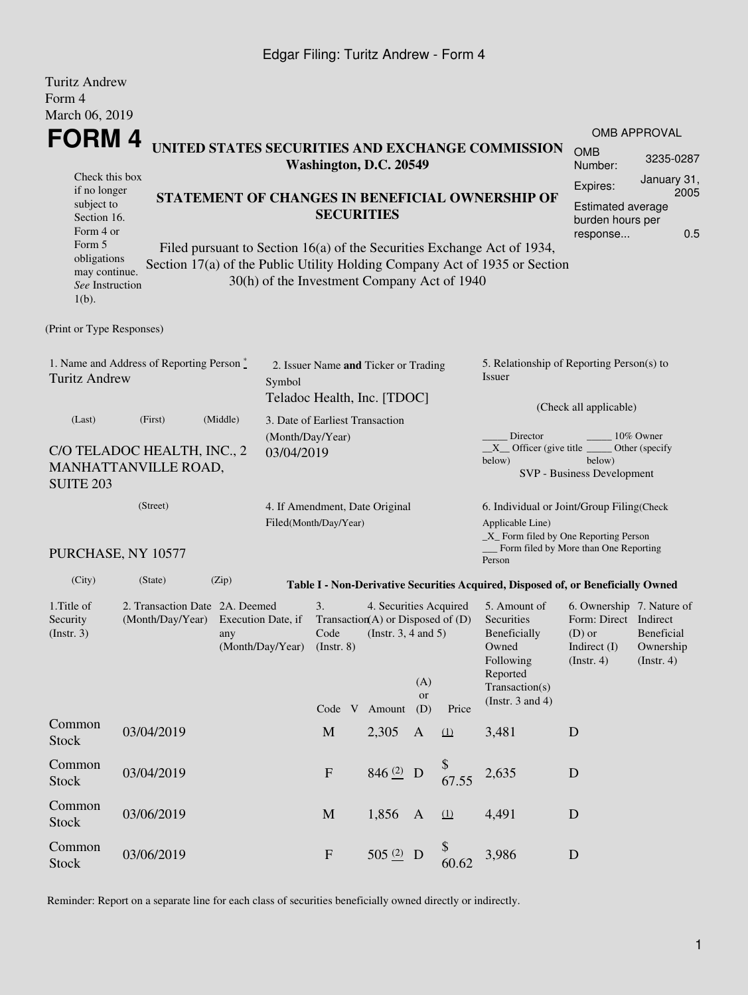## Edgar Filing: Turitz Andrew - Form 4

| <b>Turitz Andrew</b><br>Form 4                                                             |                                                         |                                |                                                                                           |                                                                     |                                                                                                                                                  |                                                                                                |                                                                                                                            |                                                                                  |                                      |                             |  |
|--------------------------------------------------------------------------------------------|---------------------------------------------------------|--------------------------------|-------------------------------------------------------------------------------------------|---------------------------------------------------------------------|--------------------------------------------------------------------------------------------------------------------------------------------------|------------------------------------------------------------------------------------------------|----------------------------------------------------------------------------------------------------------------------------|----------------------------------------------------------------------------------|--------------------------------------|-----------------------------|--|
| March 06, 2019                                                                             |                                                         |                                |                                                                                           |                                                                     |                                                                                                                                                  |                                                                                                |                                                                                                                            |                                                                                  |                                      | <b>OMB APPROVAL</b>         |  |
| FORM 4<br>UNITED STATES SECURITIES AND EXCHANGE COMMISSION<br>Washington, D.C. 20549       |                                                         |                                |                                                                                           |                                                                     |                                                                                                                                                  |                                                                                                |                                                                                                                            |                                                                                  |                                      | 3235-0287                   |  |
| Check this box<br>if no longer                                                             |                                                         |                                |                                                                                           |                                                                     |                                                                                                                                                  |                                                                                                |                                                                                                                            |                                                                                  | Expires:                             | January 31,                 |  |
| subject to<br>Section 16.<br>Form 4 or<br>Form 5                                           |                                                         |                                | <b>SECURITIES</b>                                                                         |                                                                     |                                                                                                                                                  |                                                                                                | STATEMENT OF CHANGES IN BENEFICIAL OWNERSHIP OF<br>Filed pursuant to Section 16(a) of the Securities Exchange Act of 1934, | <b>Estimated average</b><br>burden hours per<br>response                         | 2005<br>0.5                          |                             |  |
| obligations<br>may continue.<br>See Instruction<br>$1(b)$ .                                |                                                         |                                | 30(h) of the Investment Company Act of 1940                                               |                                                                     |                                                                                                                                                  |                                                                                                |                                                                                                                            | Section 17(a) of the Public Utility Holding Company Act of 1935 or Section       |                                      |                             |  |
| (Print or Type Responses)                                                                  |                                                         |                                |                                                                                           |                                                                     |                                                                                                                                                  |                                                                                                |                                                                                                                            |                                                                                  |                                      |                             |  |
| 1. Name and Address of Reporting Person $\stackrel{*}{\mathbb{L}}$<br><b>Turitz Andrew</b> |                                                         |                                | Symbol                                                                                    | 2. Issuer Name and Ticker or Trading<br>Teladoc Health, Inc. [TDOC] |                                                                                                                                                  |                                                                                                |                                                                                                                            | 5. Relationship of Reporting Person(s) to<br>Issuer<br>(Check all applicable)    |                                      |                             |  |
| (Last)                                                                                     | (First)                                                 | (Middle)                       |                                                                                           | 3. Date of Earliest Transaction                                     |                                                                                                                                                  |                                                                                                |                                                                                                                            |                                                                                  |                                      |                             |  |
| <b>SUITE 203</b>                                                                           | C/O TELADOC HEALTH, INC., 2<br>MANHATTANVILLE ROAD,     |                                | (Month/Day/Year)<br>03/04/2019                                                            |                                                                     |                                                                                                                                                  |                                                                                                |                                                                                                                            | Director<br>$X$ Officer (give title $\overline{\phantom{a}}$<br>below)           | below)<br>SVP - Business Development | 10% Owner<br>Other (specify |  |
|                                                                                            | 4. If Amendment, Date Original<br>Filed(Month/Day/Year) |                                |                                                                                           |                                                                     | 6. Individual or Joint/Group Filing(Check<br>Applicable Line)<br>_X_ Form filed by One Reporting Person<br>Form filed by More than One Reporting |                                                                                                |                                                                                                                            |                                                                                  |                                      |                             |  |
|                                                                                            | PURCHASE, NY 10577                                      |                                |                                                                                           |                                                                     |                                                                                                                                                  |                                                                                                |                                                                                                                            | Person                                                                           |                                      |                             |  |
| (City)                                                                                     | (State)                                                 | (Zip)                          |                                                                                           |                                                                     |                                                                                                                                                  |                                                                                                |                                                                                                                            | Table I - Non-Derivative Securities Acquired, Disposed of, or Beneficially Owned |                                      |                             |  |
| 1. Title of<br>Security<br>(Insert. 3)                                                     | 2. Transaction Date 2A. Deemed<br>(Month/Day/Year)      | 3.<br>Code<br>$($ Instr. 8 $)$ | 4. Securities Acquired<br>Transaction(A) or Disposed of $(D)$<br>(Instr. $3, 4$ and $5$ ) | (A)<br><b>or</b>                                                    |                                                                                                                                                  | 5. Amount of<br>Securities<br>Beneficially<br>Owned<br>Following<br>Reported<br>Transaction(s) | 6. Ownership 7. Nature of<br>Form: Direct Indirect<br>$(D)$ or<br>Indirect (I)<br>$($ Instr. 4 $)$                         | Beneficial<br>Ownership<br>(Insert. 4)                                           |                                      |                             |  |
|                                                                                            |                                                         |                                |                                                                                           |                                                                     | Code V Amount                                                                                                                                    | (D)                                                                                            | Price                                                                                                                      | (Instr. $3$ and $4$ )                                                            |                                      |                             |  |
| Common<br><b>Stock</b>                                                                     | 03/04/2019                                              |                                |                                                                                           | $\mathbf M$                                                         | 2,305                                                                                                                                            | $\mathbf{A}$                                                                                   | (1)                                                                                                                        | 3,481                                                                            | D                                    |                             |  |
| Common<br><b>Stock</b>                                                                     | 03/04/2019                                              |                                |                                                                                           | $\boldsymbol{\mathrm{F}}$                                           | 846 $(2)$ D                                                                                                                                      |                                                                                                | 67.55                                                                                                                      | 2,635                                                                            | D                                    |                             |  |
| Common<br><b>Stock</b>                                                                     | 03/06/2019                                              |                                |                                                                                           | $\mathbf M$                                                         | 1,856                                                                                                                                            | $\mathbf{A}$                                                                                   | (1)                                                                                                                        | 4,491                                                                            | D                                    |                             |  |
| Common<br><b>Stock</b>                                                                     | 03/06/2019                                              |                                |                                                                                           | $\mathbf{F}$                                                        | 505 <sup>(2)</sup> D                                                                                                                             |                                                                                                | \$<br>60.62                                                                                                                | 3,986                                                                            | D                                    |                             |  |

Reminder: Report on a separate line for each class of securities beneficially owned directly or indirectly.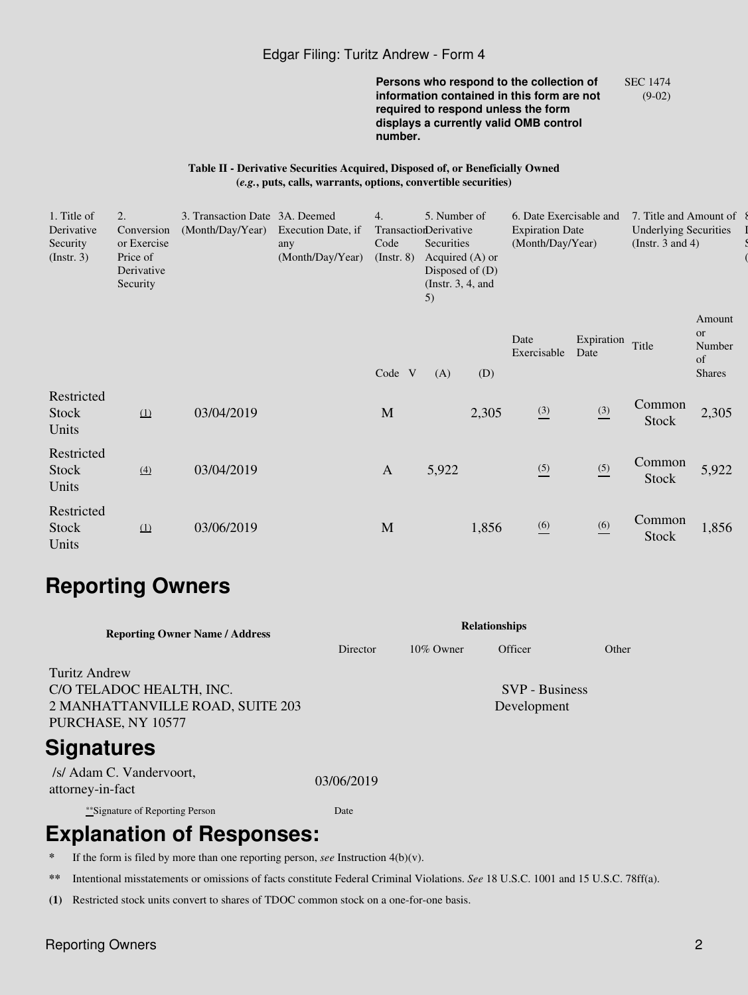#### Edgar Filing: Turitz Andrew - Form 4

**Persons who respond to the collection of information contained in this form are not required to respond unless the form displays a currently valid OMB control number.** SEC 1474 (9-02)

#### **Table II - Derivative Securities Acquired, Disposed of, or Beneficially Owned (***e.g.***, puts, calls, warrants, options, convertible securities)**

| 1. Title of<br>Derivative<br>Security<br>$($ Instr. 3 $)$ | 2.<br>Conversion<br>or Exercise<br>Price of<br>Derivative<br>Security | 3. Transaction Date 3A. Deemed<br>(Month/Day/Year) | Execution Date, if<br>any<br>(Month/Day/Year) | 4.<br>TransactionDerivative<br>Code<br>$($ Instr. 8 $)$ | 5. Number of<br>Securities<br>Acquired $(A)$ or<br>Disposed of $(D)$<br>(Instr. $3, 4$ , and<br>5) |       | 6. Date Exercisable and<br><b>Expiration Date</b><br>(Month/Day/Year) |                    | 7. Title and Amount of<br><b>Underlying Securities</b><br>(Instr. 3 and 4) |                                                      |  |
|-----------------------------------------------------------|-----------------------------------------------------------------------|----------------------------------------------------|-----------------------------------------------|---------------------------------------------------------|----------------------------------------------------------------------------------------------------|-------|-----------------------------------------------------------------------|--------------------|----------------------------------------------------------------------------|------------------------------------------------------|--|
|                                                           |                                                                       |                                                    |                                               | Code V                                                  | (A)                                                                                                | (D)   | Date<br>Exercisable                                                   | Expiration<br>Date | Title                                                                      | Amount<br><b>or</b><br>Number<br>of<br><b>Shares</b> |  |
| Restricted<br>Stock<br>Units                              | $\Omega$                                                              | 03/04/2019                                         |                                               | M                                                       |                                                                                                    | 2,305 | $\frac{(3)}{2}$                                                       | $\frac{(3)}{2}$    | Common<br><b>Stock</b>                                                     | 2,305                                                |  |
| Restricted<br>Stock<br>Units                              | $\underline{(4)}$                                                     | 03/04/2019                                         |                                               | $\mathbf{A}$                                            | 5,922                                                                                              |       | $\frac{(5)}{2}$                                                       | (5)<br>—           | Common<br>Stock                                                            | 5,922                                                |  |
| Restricted<br>Stock<br>Units                              | (1)                                                                   | 03/06/2019                                         |                                               | M                                                       |                                                                                                    | 1,856 | $\underline{(6)}$                                                     | $\underline{(6)}$  | Common<br>Stock                                                            | 1,856                                                |  |

# **Reporting Owners**

| <b>Relationships</b> |              |                                      |       |  |  |  |  |
|----------------------|--------------|--------------------------------------|-------|--|--|--|--|
| Director             | $10\%$ Owner | Officer                              | Other |  |  |  |  |
|                      |              | <b>SVP</b> - Business<br>Development |       |  |  |  |  |
|                      |              |                                      |       |  |  |  |  |
| 03/06/2019           |              |                                      |       |  |  |  |  |
| Date                 |              |                                      |       |  |  |  |  |
|                      |              |                                      |       |  |  |  |  |

## **Explanation of Responses:**

**\*** If the form is filed by more than one reporting person, *see* Instruction 4(b)(v).

**\*\*** Intentional misstatements or omissions of facts constitute Federal Criminal Violations. *See* 18 U.S.C. 1001 and 15 U.S.C. 78ff(a).

**(1)** Restricted stock units convert to shares of TDOC common stock on a one-for-one basis.